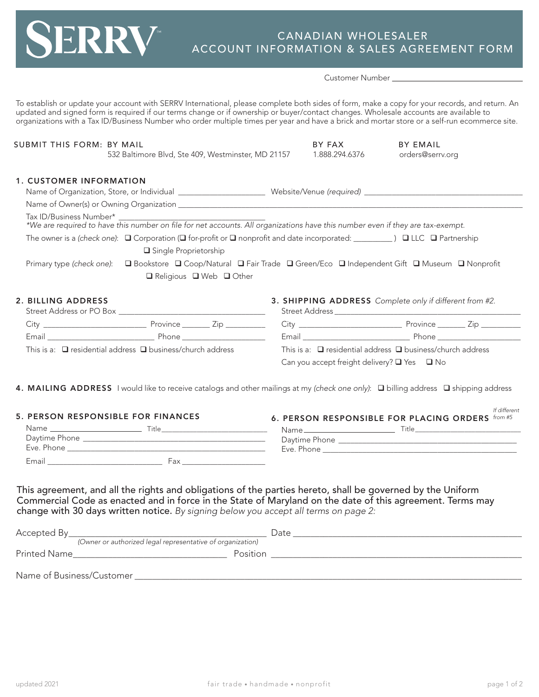## CANADIAN WHOLESALER ACCOUNT INFORMATION & SALES AGREEMENT FORM

Customer Number

To establish or update your account with SERRV International, please complete both sides of form, make a copy for your records, and return. An updated and signed form is required if our terms change or if ownership or buyer/contact changes. Wholesale accounts are available to organizations with a Tax ID/Business Number who order multiple times per year and have a brick and mortar store or a self-run ecommerce site.

| SUBMIT THIS FORM: BY MAIL      | 532 Baltimore Blvd, Ste 409, Westminster, MD 21157                                                                                                   | BY FAX<br>1.888.294.6376 | <b>BY EMAIL</b><br>orders@serrv.org |
|--------------------------------|------------------------------------------------------------------------------------------------------------------------------------------------------|--------------------------|-------------------------------------|
| <b>1. CUSTOMER INFORMATION</b> |                                                                                                                                                      |                          |                                     |
|                                |                                                                                                                                                      |                          |                                     |
|                                |                                                                                                                                                      |                          |                                     |
| Tax ID/Business Number*        | *We are required to have this number on file for net accounts. All organizations have this number even if they are tax-exempt.                       |                          |                                     |
|                                | The owner is a (check one): $\Box$ Corporation ( $\Box$ for-profit or $\Box$ nonprofit and date incorporated: $\Box$ ) $\Box$ LLC $\Box$ Partnership |                          |                                     |
|                                | □ Single Proprietorship                                                                                                                              |                          |                                     |
| Primary type (check one):      | □ Bookstore □ Coop/Natural □ Fair Trade □ Green/Eco □ Independent Gift □ Museum □ Nonprofit<br>$\Box$ Religious $\Box$ Web $\Box$ Other              |                          |                                     |

## 2. BILLING ADDRESS

|                                                                      | Street Address or PO Box |                       |
|----------------------------------------------------------------------|--------------------------|-----------------------|
| City                                                                 |                          | Province ________ Zip |
| Email                                                                | Phone                    |                       |
| This is a: $\Box$ residential address $\Box$ business/church address |                          |                       |

3. SHIPPING ADDRESS *Complete only if different from #2.* Street Address

| <u>JUCCI I NAMICJJ</u>                                               |              |
|----------------------------------------------------------------------|--------------|
|                                                                      | Province Zip |
| Email                                                                | Phone        |
| This is a: $\Box$ residential address $\Box$ business/church address |              |

Can you accept freight delivery?  $\Box$  Yes  $\Box$  No

4. MAILING ADDRESS I would like to receive catalogs and other mailings at my *(check one only)*: **Q** billing address **Q** shipping address

| <b>5. PERSON RESPONSIBLE FOR FINANCES</b>            |                                                                    | 6. PERSON RESPONSIBLE FOR PLACING ORDERS from #5 |  |
|------------------------------------------------------|--------------------------------------------------------------------|--------------------------------------------------|--|
| Name<br>the control of the control of the control of | Title                                                              | Title<br>Name _________________________          |  |
| Daytime Phone                                        | <u> 1989 - Johann John Stein, mars an deutscher Stein († 1989)</u> | Daytime Phone                                    |  |
| Eve. Phone                                           |                                                                    | Eve. Phone                                       |  |
| Email                                                | Fax                                                                |                                                  |  |

This agreement, and all the rights and obligations of the parties hereto, shall be governed by the Uniform Commercial Code as enacted and in force in the State of Maryland on the date of this agreement. Terms may change with 30 days written notice. *By signing below you accept all terms on page 2:*

| Accepted By                                                | Date     |
|------------------------------------------------------------|----------|
| (Owner or authorized legal representative of organization) |          |
| <b>Printed Name</b>                                        | Position |
|                                                            |          |
| Name of Business/Customer                                  |          |

*If different*